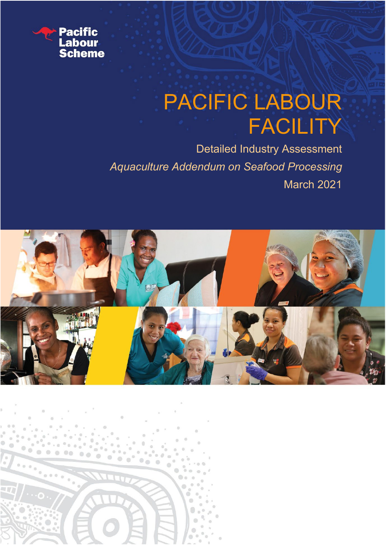

-4

# PACIFIC LABOUR FACILITY

Detailed Industry Assessment *Aquaculture Addendum on Seafood Processing* March 2021

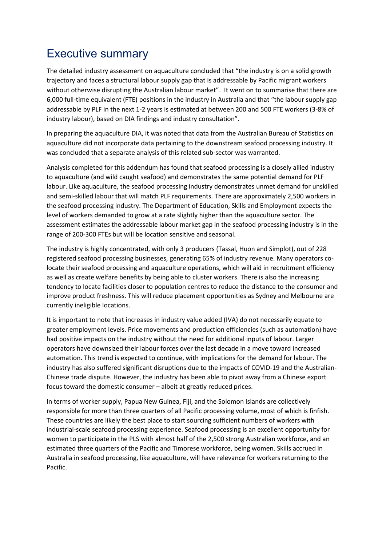# <span id="page-1-0"></span>Executive summary

The detailed industry assessment on aquaculture concluded that "the industry is on a solid growth trajectory and faces a structural labour supply gap that is addressable by Pacific migrant workers without otherwise disrupting the Australian labour market". It went on to summarise that there are 6,000 full-time equivalent (FTE) positions in the industry in Australia and that "the labour supply gap addressable by PLF in the next 1-2 years is estimated at between 200 and 500 FTE workers (3-8% of industry labour), based on DIA findings and industry consultation".

In preparing the aquaculture DIA, it was noted that data from the Australian Bureau of Statistics on aquaculture did not incorporate data pertaining to the downstream seafood processing industry. It was concluded that a separate analysis of this related sub-sector was warranted.

Analysis completed for this addendum has found that seafood processing is a closely allied industry to aquaculture (and wild caught seafood) and demonstrates the same potential demand for PLF labour. Like aquaculture, the seafood processing industry demonstrates unmet demand for unskilled and semi-skilled labour that will match PLF requirements. There are approximately 2,500 workers in the seafood processing industry. The Department of Education, Skills and Employment expects the level of workers demanded to grow at a rate slightly higher than the aquaculture sector. The assessment estimates the addressable labour market gap in the seafood processing industry is in the range of 200-300 FTEs but will be location sensitive and seasonal.

The industry is highly concentrated, with only 3 producers (Tassal, Huon and Simplot), out of 228 registered seafood processing businesses, generating 65% of industry revenue. Many operators colocate their seafood processing and aquaculture operations, which will aid in recruitment efficiency as well as create welfare benefits by being able to cluster workers. There is also the increasing tendency to locate facilities closer to population centres to reduce the distance to the consumer and improve product freshness. This will reduce placement opportunities as Sydney and Melbourne are currently ineligible locations.

It is important to note that increases in industry value added (IVA) do not necessarily equate to greater employment levels. Price movements and production efficiencies (such as automation) have had positive impacts on the industry without the need for additional inputs of labour. Larger operators have downsized their labour forces over the last decade in a move toward increased automation. This trend is expected to continue, with implications for the demand for labour. The industry has also suffered significant disruptions due to the impacts of COVID-19 and the Australian-Chinese trade dispute. However, the industry has been able to pivot away from a Chinese export focus toward the domestic consumer – albeit at greatly reduced prices.

In terms of worker supply, Papua New Guinea, Fiji, and the Solomon Islands are collectively responsible for more than three quarters of all Pacific processing volume, most of which is finfish. These countries are likely the best place to start sourcing sufficient numbers of workers with industrial-scale seafood processing experience. Seafood processing is an excellent opportunity for women to participate in the PLS with almost half of the 2,500 strong Australian workforce, and an estimated three quarters of the Pacific and Timorese workforce, being women. Skills accrued in Australia in seafood processing, like aquaculture, will have relevance for workers returning to the Pacific.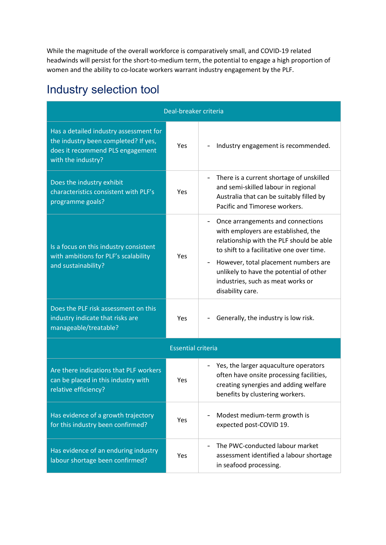While the magnitude of the overall workforce is comparatively small, and COVID-19 related headwinds will persist for the short-to-medium term, the potential to engage a high proportion of women and the ability to co-locate workers warrant industry engagement by the PLF.

# <span id="page-2-0"></span>Industry selection tool

| Deal-breaker criteria                                                                                                                    |                           |                                                                                                                                                                                                                                                                                                               |  |  |
|------------------------------------------------------------------------------------------------------------------------------------------|---------------------------|---------------------------------------------------------------------------------------------------------------------------------------------------------------------------------------------------------------------------------------------------------------------------------------------------------------|--|--|
| Has a detailed industry assessment for<br>the industry been completed? If yes,<br>does it recommend PLS engagement<br>with the industry? | Yes                       | Industry engagement is recommended.                                                                                                                                                                                                                                                                           |  |  |
| Does the industry exhibit<br>characteristics consistent with PLF's<br>programme goals?                                                   | Yes                       | There is a current shortage of unskilled<br>and semi-skilled labour in regional<br>Australia that can be suitably filled by<br>Pacific and Timorese workers.                                                                                                                                                  |  |  |
| Is a focus on this industry consistent<br>with ambitions for PLF's scalability<br>and sustainability?                                    | Yes                       | Once arrangements and connections<br>with employers are established, the<br>relationship with the PLF should be able<br>to shift to a facilitative one over time.<br>However, total placement numbers are<br>unlikely to have the potential of other<br>industries, such as meat works or<br>disability care. |  |  |
| Does the PLF risk assessment on this<br>industry indicate that risks are<br>manageable/treatable?                                        | <b>Yes</b>                | Generally, the industry is low risk.                                                                                                                                                                                                                                                                          |  |  |
|                                                                                                                                          | <b>Essential criteria</b> |                                                                                                                                                                                                                                                                                                               |  |  |
| Are there indications that PLF workers<br>can be placed in this industry with<br>relative efficiency?                                    | Yes                       | Yes, the larger aquaculture operators<br>often have onsite processing facilities,<br>creating synergies and adding welfare<br>benefits by clustering workers.                                                                                                                                                 |  |  |
| Has evidence of a growth trajectory<br>for this industry been confirmed?                                                                 | <b>Yes</b>                | Modest medium-term growth is<br>expected post-COVID 19.                                                                                                                                                                                                                                                       |  |  |
| Has evidence of an enduring industry<br>labour shortage been confirmed?                                                                  | Yes                       | The PWC-conducted labour market<br>assessment identified a labour shortage<br>in seafood processing.                                                                                                                                                                                                          |  |  |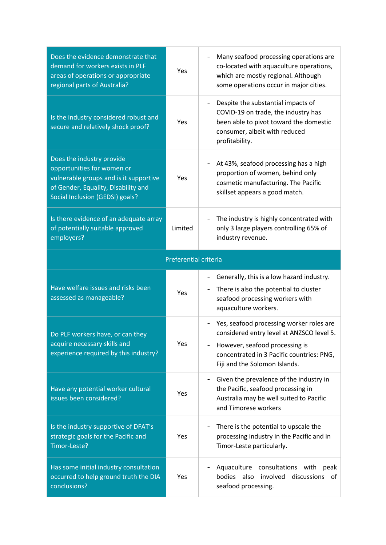| Does the evidence demonstrate that<br>demand for workers exists in PLF<br>areas of operations or appropriate<br>regional parts of Australia?                                | Yes                   | Many seafood processing operations are<br>co-located with aquaculture operations,<br>which are mostly regional. Although<br>some operations occur in major cities.                                    |
|-----------------------------------------------------------------------------------------------------------------------------------------------------------------------------|-----------------------|-------------------------------------------------------------------------------------------------------------------------------------------------------------------------------------------------------|
| Is the industry considered robust and<br>secure and relatively shock proof?                                                                                                 | Yes                   | Despite the substantial impacts of<br>COVID-19 on trade, the industry has<br>been able to pivot toward the domestic<br>consumer, albeit with reduced<br>profitability.                                |
| Does the industry provide<br>opportunities for women or<br>vulnerable groups and is it supportive<br>of Gender, Equality, Disability and<br>Social Inclusion (GEDSI) goals? | Yes                   | At 43%, seafood processing has a high<br>proportion of women, behind only<br>cosmetic manufacturing. The Pacific<br>skillset appears a good match.                                                    |
| Is there evidence of an adequate array<br>of potentially suitable approved<br>employers?                                                                                    | Limited               | The industry is highly concentrated with<br>only 3 large players controlling 65% of<br>industry revenue.                                                                                              |
|                                                                                                                                                                             | Preferential criteria |                                                                                                                                                                                                       |
|                                                                                                                                                                             |                       |                                                                                                                                                                                                       |
| Have welfare issues and risks been<br>assessed as manageable?                                                                                                               | Yes                   | Generally, this is a low hazard industry.<br>There is also the potential to cluster<br>seafood processing workers with<br>aquaculture workers.                                                        |
| Do PLF workers have, or can they<br>acquire necessary skills and<br>experience required by this industry?                                                                   | Yes                   | Yes, seafood processing worker roles are<br>considered entry level at ANZSCO level 5.<br>However, seafood processing is<br>concentrated in 3 Pacific countries: PNG,<br>Fiji and the Solomon Islands. |
| Have any potential worker cultural<br>issues been considered?                                                                                                               | Yes                   | Given the prevalence of the industry in<br>the Pacific, seafood processing in<br>Australia may be well suited to Pacific<br>and Timorese workers                                                      |
| Is the industry supportive of DFAT's<br>strategic goals for the Pacific and<br>Timor-Leste?                                                                                 | Yes                   | There is the potential to upscale the<br>processing industry in the Pacific and in<br>Timor-Leste particularly.                                                                                       |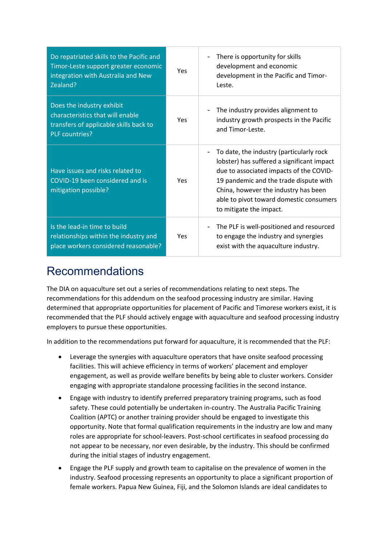| Do repatriated skills to the Pacific and<br>Timor-Leste support greater economic<br>integration with Australia and New<br>Zealand? | Yes        | There is opportunity for skills<br>development and economic<br>development in the Pacific and Timor-<br>Leste.                                                                                                                                                                            |
|------------------------------------------------------------------------------------------------------------------------------------|------------|-------------------------------------------------------------------------------------------------------------------------------------------------------------------------------------------------------------------------------------------------------------------------------------------|
| Does the industry exhibit<br>characteristics that will enable<br>transfers of applicable skills back to<br>PLF countries?          | <b>Yes</b> | The industry provides alignment to<br>industry growth prospects in the Pacific<br>and Timor-Leste.                                                                                                                                                                                        |
| Have issues and risks related to<br>COVID-19 been considered and is<br>mitigation possible?                                        | <b>Yes</b> | To date, the industry (particularly rock<br>lobster) has suffered a significant impact<br>due to associated impacts of the COVID-<br>19 pandemic and the trade dispute with<br>China, however the industry has been<br>able to pivot toward domestic consumers<br>to mitigate the impact. |
| Is the lead-in time to build<br>relationships within the industry and<br>place workers considered reasonable?                      | <b>Yes</b> | The PLF is well-positioned and resourced<br>to engage the industry and synergies<br>exist with the aquaculture industry.                                                                                                                                                                  |

# <span id="page-4-0"></span>Recommendations

The DIA on aquaculture set out a series of recommendations relating to next steps. The recommendations for this addendum on the seafood processing industry are similar. Having determined that appropriate opportunities for placement of Pacific and Timorese workers exist, it is recommended that the PLF should actively engage with aquaculture and seafood processing industry employers to pursue these opportunities.

In addition to the recommendations put forward for aquaculture, it is recommended that the PLF:

- Leverage the synergies with aquaculture operators that have onsite seafood processing facilities. This will achieve efficiency in terms of workers' placement and employer engagement, as well as provide welfare benefits by being able to cluster workers. Consider engaging with appropriate standalone processing facilities in the second instance.
- Engage with industry to identify preferred preparatory training programs, such as food safety. These could potentially be undertaken in-country. The Australia Pacific Training Coalition (APTC) or another training provider should be engaged to investigate this opportunity. Note that formal qualification requirements in the industry are low and many roles are appropriate for school-leavers. Post-school certificates in seafood processing do not appear to be necessary, nor even desirable, by the industry. This should be confirmed during the initial stages of industry engagement.
- Engage the PLF supply and growth team to capitalise on the prevalence of women in the industry. Seafood processing represents an opportunity to place a significant proportion of female workers. Papua New Guinea, Fiji, and the Solomon Islands are ideal candidates to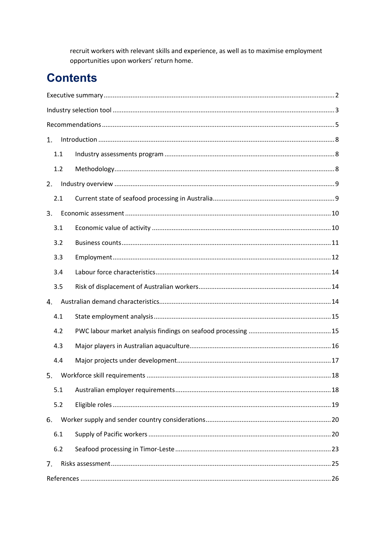recruit workers with relevant skills and experience, as well as to maximise employment opportunities upon workers' return home.

# **Contents**

| 1.  | $\label{eq:1} \mbox{Introduction} \,\, \ldots \,\, \ldots \,\, \ldots \,\, \ldots \,\, \ldots \,\, \ldots \,\, \ldots \,\, \ldots \,\, \ldots \,\, \ldots \,\, \ldots \,\, \ldots \,\, \ldots \,\, \ldots \,\, \ldots \,\, \ldots \,\, \ldots \,\, \ldots \,\, \ldots \,\, \ldots \,\, \ldots \,\, \ldots \,\, \ldots \,\, \ldots \,\, \ldots \,\, \ldots \,\, \ldots \,\, \ldots \,\, \ldots \,\, \ldots \,\, \ldots \,\, \ldots \,\, \ldots \,\, \ldots \,\,$ |
|-----|-----------------------------------------------------------------------------------------------------------------------------------------------------------------------------------------------------------------------------------------------------------------------------------------------------------------------------------------------------------------------------------------------------------------------------------------------------------------|
| 1.1 |                                                                                                                                                                                                                                                                                                                                                                                                                                                                 |
| 1.2 |                                                                                                                                                                                                                                                                                                                                                                                                                                                                 |
| 2.  |                                                                                                                                                                                                                                                                                                                                                                                                                                                                 |
| 2.1 |                                                                                                                                                                                                                                                                                                                                                                                                                                                                 |
| 3.  |                                                                                                                                                                                                                                                                                                                                                                                                                                                                 |
| 3.1 |                                                                                                                                                                                                                                                                                                                                                                                                                                                                 |
| 3.2 |                                                                                                                                                                                                                                                                                                                                                                                                                                                                 |
| 3.3 |                                                                                                                                                                                                                                                                                                                                                                                                                                                                 |
| 3.4 |                                                                                                                                                                                                                                                                                                                                                                                                                                                                 |
| 3.5 |                                                                                                                                                                                                                                                                                                                                                                                                                                                                 |
| 4.  |                                                                                                                                                                                                                                                                                                                                                                                                                                                                 |
| 4.1 |                                                                                                                                                                                                                                                                                                                                                                                                                                                                 |
| 4.2 |                                                                                                                                                                                                                                                                                                                                                                                                                                                                 |
| 4.3 |                                                                                                                                                                                                                                                                                                                                                                                                                                                                 |
| 4.4 |                                                                                                                                                                                                                                                                                                                                                                                                                                                                 |
| 5.  |                                                                                                                                                                                                                                                                                                                                                                                                                                                                 |
| 5.1 |                                                                                                                                                                                                                                                                                                                                                                                                                                                                 |
| 5.2 |                                                                                                                                                                                                                                                                                                                                                                                                                                                                 |
| 6.  |                                                                                                                                                                                                                                                                                                                                                                                                                                                                 |
| 6.1 |                                                                                                                                                                                                                                                                                                                                                                                                                                                                 |
| 6.2 |                                                                                                                                                                                                                                                                                                                                                                                                                                                                 |
| 7.  |                                                                                                                                                                                                                                                                                                                                                                                                                                                                 |
|     |                                                                                                                                                                                                                                                                                                                                                                                                                                                                 |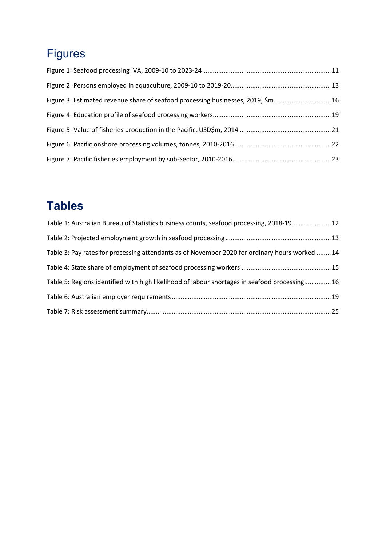# Figures

| Figure 3: Estimated revenue share of seafood processing businesses, 2019, \$m 16 |  |
|----------------------------------------------------------------------------------|--|
|                                                                                  |  |
|                                                                                  |  |
|                                                                                  |  |
|                                                                                  |  |

# **Tables**

| Table 1: Australian Bureau of Statistics business counts, seafood processing, 2018-19  12      |  |
|------------------------------------------------------------------------------------------------|--|
|                                                                                                |  |
| Table 3: Pay rates for processing attendants as of November 2020 for ordinary hours worked  14 |  |
|                                                                                                |  |
| Table 5: Regions identified with high likelihood of labour shortages in seafood processing16   |  |
|                                                                                                |  |
|                                                                                                |  |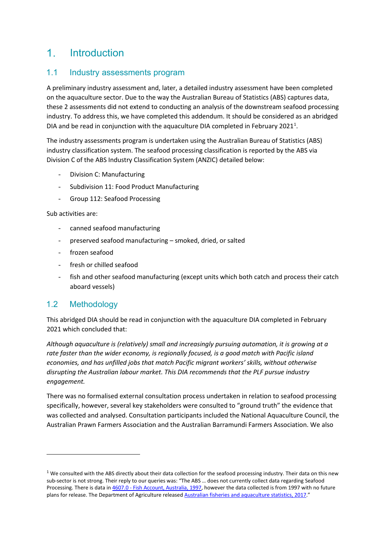#### <span id="page-7-0"></span> $1<sup>1</sup>$ Introduction

#### <span id="page-7-1"></span>1.1 Industry assessments program

A preliminary industry assessment and, later, a detailed industry assessment have been completed on the aquaculture sector. Due to the way the Australian Bureau of Statistics (ABS) captures data, these 2 assessments did not extend to conducting an analysis of the downstream seafood processing industry. To address this, we have completed this addendum. It should be considered as an abridged DIA and be read in conjunction with the aquaculture DIA completed in February 2021<sup>1</sup>.

The industry assessments program is undertaken using the Australian Bureau of Statistics (ABS) industry classification system. The seafood processing classification is reported by the ABS via Division C of the ABS Industry Classification System (ANZIC) detailed below:

- Division C: Manufacturing
- Subdivision 11: Food Product Manufacturing
- Group 112: Seafood Processing

Sub activities are:

- canned seafood manufacturing
- preserved seafood manufacturing smoked, dried, or salted
- frozen seafood
- fresh or chilled seafood
- fish and other seafood manufacturing (except units which both catch and process their catch aboard vessels)

#### <span id="page-7-2"></span>1.2 Methodology

This abridged DIA should be read in conjunction with the aquaculture DIA completed in February 2021 which concluded that:

*Although aquaculture is (relatively) small and increasingly pursuing automation, it is growing at a rate faster than the wider economy, is regionally focused, is a good match with Pacific island economies, and has unfilled jobs that match Pacific migrant workers' skills, without otherwise disrupting the Australian labour market. This DIA recommends that the PLF pursue industry engagement.* 

There was no formalised external consultation process undertaken in relation to seafood processing specifically, however, several key stakeholders were consulted to "ground truth" the evidence that was collected and analysed. Consultation participants included the National Aquaculture Council, the Australian Prawn Farmers Association and the Australian Barramundi Farmers Association. We also

<span id="page-7-3"></span> $1$  We consulted with the ABS directly about their data collection for the seafood processing industry. Their data on this new sub-sector is not strong. Their reply to our queries was: "The ABS … does not currently collect data regarding Seafood Processing. There is data in 4607.0 - [Fish Account, Australia, 1997,](https://www.abs.gov.au/AUSSTATS/abs@.nsf/Lookup/4607.0Main+Features11997?OpenDocument) however the data collected is from 1997 with no future plans for release. The Department of Agriculture release[d Australian fisheries and aquaculture statistics, 2017."](https://www.agriculture.gov.au/sites/default/files/sitecollectiondocuments/abares/publications/AustFishAquacStats_2017_v1.2.0.pdf)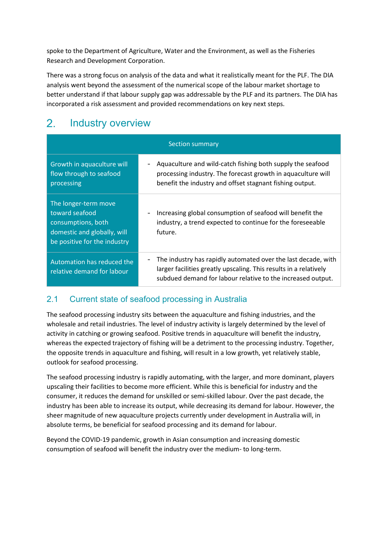spoke to the Department of Agriculture, Water and the Environment, as well as the Fisheries Research and Development Corporation.

There was a strong focus on analysis of the data and what it realistically meant for the PLF. The DIA analysis went beyond the assessment of the numerical scope of the labour market shortage to better understand if that labour supply gap was addressable by the PLF and its partners. The DIA has incorporated a risk assessment and provided recommendations on key next steps.

#### <span id="page-8-0"></span> $2<sub>1</sub>$ Industry overview

| <b>Section summary</b>                                                                                                      |                                                                                                                                                                                                   |  |  |  |
|-----------------------------------------------------------------------------------------------------------------------------|---------------------------------------------------------------------------------------------------------------------------------------------------------------------------------------------------|--|--|--|
| Growth in aquaculture will<br>flow through to seafood<br>processing                                                         | Aquaculture and wild-catch fishing both supply the seafood<br>processing industry. The forecast growth in aquaculture will<br>benefit the industry and offset stagnant fishing output.            |  |  |  |
| The longer-term move<br>toward seafood<br>consumptions, both<br>domestic and globally, will<br>be positive for the industry | Increasing global consumption of seafood will benefit the<br>industry, a trend expected to continue for the foreseeable<br>future.                                                                |  |  |  |
| Automation has reduced the<br>relative demand for labour                                                                    | The industry has rapidly automated over the last decade, with<br>larger facilities greatly upscaling. This results in a relatively<br>subdued demand for labour relative to the increased output. |  |  |  |

### <span id="page-8-1"></span>2.1 Current state of seafood processing in Australia

The seafood processing industry sits between the aquaculture and fishing industries, and the wholesale and retail industries. The level of industry activity is largely determined by the level of activity in catching or growing seafood. Positive trends in aquaculture will benefit the industry, whereas the expected trajectory of fishing will be a detriment to the processing industry. Together, the opposite trends in aquaculture and fishing, will result in a low growth, yet relatively stable, outlook for seafood processing.

The seafood processing industry is rapidly automating, with the larger, and more dominant, players upscaling their facilities to become more efficient. While this is beneficial for industry and the consumer, it reduces the demand for unskilled or semi-skilled labour. Over the past decade, the industry has been able to increase its output, while decreasing its demand for labour. However, the sheer magnitude of new aquaculture projects currently under development in Australia will, in absolute terms, be beneficial for seafood processing and its demand for labour.

Beyond the COVID-19 pandemic, growth in Asian consumption and increasing domestic consumption of seafood will benefit the industry over the medium- to long-term.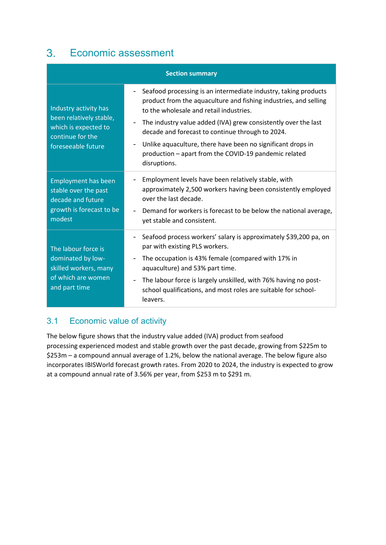#### <span id="page-9-0"></span> $3<sub>1</sub>$ Economic assessment

| <b>Section summary</b>                                                                                             |                                                                                                                                                                                                                                                                                                                                                                                                                                                                                                                                      |  |  |  |
|--------------------------------------------------------------------------------------------------------------------|--------------------------------------------------------------------------------------------------------------------------------------------------------------------------------------------------------------------------------------------------------------------------------------------------------------------------------------------------------------------------------------------------------------------------------------------------------------------------------------------------------------------------------------|--|--|--|
| Industry activity has<br>been relatively stable,<br>which is expected to<br>continue for the<br>foreseeable future | Seafood processing is an intermediate industry, taking products<br>$\overline{\phantom{a}}$<br>product from the aquaculture and fishing industries, and selling<br>to the wholesale and retail industries.<br>The industry value added (IVA) grew consistently over the last<br>$\qquad \qquad \blacksquare$<br>decade and forecast to continue through to 2024.<br>Unlike aquaculture, there have been no significant drops in<br>$\overline{\phantom{a}}$<br>production - apart from the COVID-19 pandemic related<br>disruptions. |  |  |  |
| <b>Employment has been</b><br>stable over the past<br>decade and future<br>growth is forecast to be<br>modest      | Employment levels have been relatively stable, with<br>-<br>approximately 2,500 workers having been consistently employed<br>over the last decade.<br>Demand for workers is forecast to be below the national average,<br>yet stable and consistent.                                                                                                                                                                                                                                                                                 |  |  |  |
| The labour force is<br>dominated by low-<br>skilled workers, many<br>of which are women<br>and part time           | Seafood process workers' salary is approximately \$39,200 pa, on<br>par with existing PLS workers.<br>The occupation is 43% female (compared with 17% in<br>$\overline{\phantom{0}}$<br>aquaculture) and 53% part time.<br>The labour force is largely unskilled, with 76% having no post-<br>$\overline{\phantom{a}}$<br>school qualifications, and most roles are suitable for school-<br>leavers.                                                                                                                                 |  |  |  |

### <span id="page-9-1"></span>3.1 Economic value of activity

The below figure shows that the industry value added (IVA) product from seafood processing experienced modest and stable growth over the past decade, growing from \$225m to \$253m – a compound annual average of 1.2%, below the national average. The below figure also incorporates IBISWorld forecast growth rates. From 2020 to 2024, the industry is expected to grow at a compound annual rate of 3.56% per year, from \$253 m to \$291 m.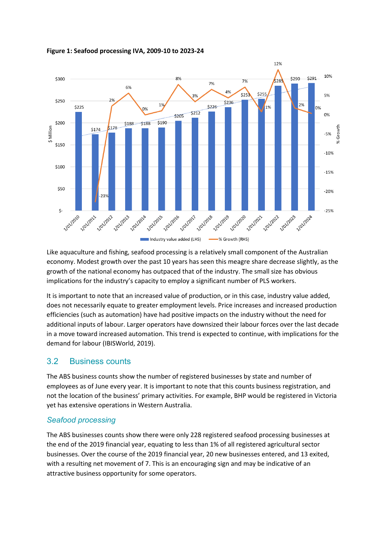

#### <span id="page-10-1"></span>**Figure 1: Seafood processing IVA, 2009-10 to 2023-24**

Like aquaculture and fishing, seafood processing is a relatively small component of the Australian economy. Modest growth over the past 10 years has seen this meagre share decrease slightly, as the growth of the national economy has outpaced that of the industry. The small size has obvious implications for the industry's capacity to employ a significant number of PLS workers.

It is important to note that an increased value of production, or in this case, industry value added, does not necessarily equate to greater employment levels. Price increases and increased production efficiencies (such as automation) have had positive impacts on the industry without the need for additional inputs of labour. Larger operators have downsized their labour forces over the last decade in a move toward increased automation. This trend is expected to continue, with implications for the demand for labour (IBISWorld, 2019).

#### <span id="page-10-0"></span>3.2 Business counts

The ABS business counts show the number of registered businesses by state and number of employees as of June every year. It is important to note that this counts business registration, and not the location of the business' primary activities. For example, BHP would be registered in Victoria yet has extensive operations in Western Australia.

#### *Seafood processing*

The ABS businesses counts show there were only 228 registered seafood processing businesses at the end of the 2019 financial year, equating to less than 1% of all registered agricultural sector businesses. Over the course of the 2019 financial year, 20 new businesses entered, and 13 exited, with a resulting net movement of 7. This is an encouraging sign and may be indicative of an attractive business opportunity for some operators.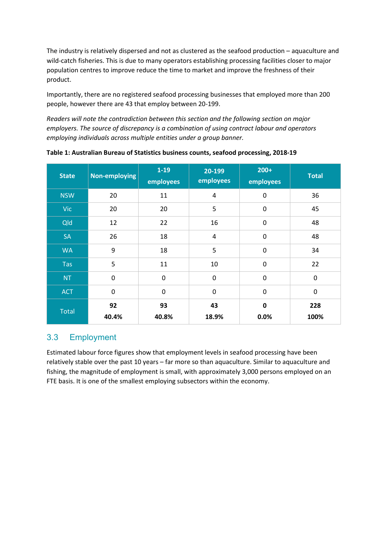The industry is relatively dispersed and not as clustered as the seafood production – aquaculture and wild-catch fisheries. This is due to many operators establishing processing facilities closer to major population centres to improve reduce the time to market and improve the freshness of their product.

Importantly, there are no registered seafood processing businesses that employed more than 200 people, however there are 43 that employ between 20-199.

*Readers will note the contradiction between this section and the following section on major employers. The source of discrepancy is a combination of using contract labour and operators employing individuals across multiple entities under a group banner.* 

| <b>State</b> | Non-employing | $1-19$<br>employees | 20-199<br>employees | $200+$<br>employees | <b>Total</b>     |
|--------------|---------------|---------------------|---------------------|---------------------|------------------|
| <b>NSW</b>   | 20            | 11                  | 4                   | 0                   | 36               |
| <b>Vic</b>   | 20            | 20                  | 5                   | 0                   | 45               |
| Qld          | 12            | 22                  | 16                  | 0                   | 48               |
| <b>SA</b>    | 26            | 18                  | 4                   | 0                   | 48               |
| <b>WA</b>    | 9             | 18                  | 5                   | $\pmb{0}$           | 34               |
| Tas          | 5             | 11                  | 10                  | $\mathbf 0$         | 22               |
| <b>NT</b>    | $\pmb{0}$     | $\mathbf 0$         | $\pmb{0}$           | 0                   | $\boldsymbol{0}$ |
| <b>ACT</b>   | $\pmb{0}$     | $\mathbf 0$         | $\mathbf 0$         | 0                   | $\boldsymbol{0}$ |
| <b>Total</b> | 92<br>40.4%   | 93<br>40.8%         | 43<br>18.9%         | $\mathbf 0$<br>0.0% | 228<br>100%      |

<span id="page-11-1"></span>**Table 1: Australian Bureau of Statistics business counts, seafood processing, 2018-19**

### <span id="page-11-0"></span>3.3 Employment

Estimated labour force figures show that employment levels in seafood processing have been relatively stable over the past 10 years – far more so than aquaculture. Similar to aquaculture and fishing, the magnitude of employment is small, with approximately 3,000 persons employed on an FTE basis. It is one of the smallest employing subsectors within the economy.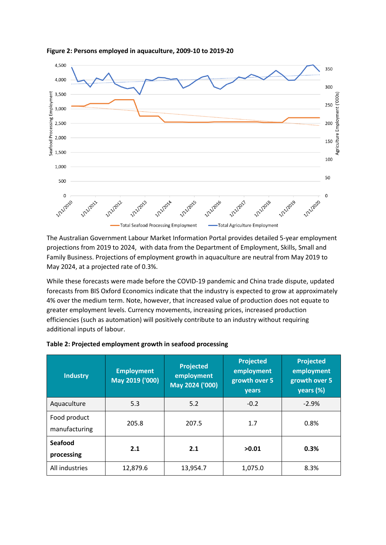

<span id="page-12-0"></span>**Figure 2: Persons employed in aquaculture, 2009-10 to 2019-20**

The Australian Government Labour Market Information Portal provides detailed 5-year employment projections from 2019 to 2024, with data from the Department of Employment, Skills, Small and Family Business. Projections of employment growth in aquaculture are neutral from May 2019 to May 2024, at a projected rate of 0.3%.

While these forecasts were made before the COVID-19 pandemic and China trade dispute, updated forecasts from BIS Oxford Economics indicate that the industry is expected to grow at approximately 4% over the medium term. Note, however, that increased value of production does not equate to greater employment levels. Currency movements, increasing prices, increased production efficiencies (such as automation) will positively contribute to an industry without requiring additional inputs of labour.

| <b>Industry</b>               | <b>Employment</b><br>May 2019 ('000) | <b>Projected</b><br>employment<br>May 2024 ('000) | <b>Projected</b><br>employment<br>growth over 5<br>years | <b>Projected</b><br>employment<br>growth over 5<br>years (%) |
|-------------------------------|--------------------------------------|---------------------------------------------------|----------------------------------------------------------|--------------------------------------------------------------|
| Aquaculture                   | 5.3                                  | 5.2                                               | $-0.2$                                                   | $-2.9%$                                                      |
| Food product<br>manufacturing | 205.8                                | 207.5                                             | 1.7                                                      | 0.8%                                                         |
| <b>Seafood</b><br>processing  | 2.1                                  | 2.1                                               | >0.01                                                    | 0.3%                                                         |
| All industries                | 12,879.6                             | 13,954.7                                          | 1,075.0                                                  | 8.3%                                                         |

<span id="page-12-1"></span>

| Table 2: Projected employment growth in seafood processing |  |  |  |  |
|------------------------------------------------------------|--|--|--|--|
|------------------------------------------------------------|--|--|--|--|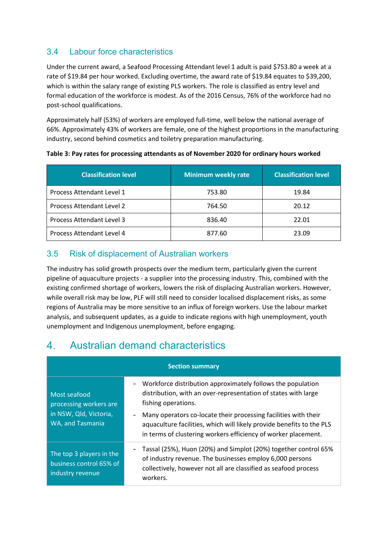### <span id="page-13-0"></span>3.4 Labour force characteristics

Under the current award, a Seafood Processing Attendant level 1 adult is paid \$753.80 a week at a rate of \$19.84 per hour worked. Excluding overtime, the award rate of \$19.84 equates to \$39,200, which is within the salary range of existing PLS workers. The role is classified as entry level and formal education of the workforce is modest. As of the 2016 Census, 76% of the workforce had no post-school qualifications.

Approximately half (53%) of workers are employed full-time, well below the national average of 66%. Approximately 43% of workers are female, one of the highest proportions in the manufacturing industry, second behind cosmetics and toiletry preparation manufacturing.

| <b>Classification level</b> | <b>Minimum weekly rate</b> | <b>Classification level</b> |
|-----------------------------|----------------------------|-----------------------------|
| Process Attendant Level 1   | 753.80                     | 19.84                       |
| Process Attendant Level 2   | 764.50                     | 20.12                       |
| Process Attendant Level 3   | 836.40                     | 22.01                       |
| Process Attendant Level 4   | 877.60                     | 23.09                       |

#### <span id="page-13-3"></span>**Table 3: Pay rates for processing attendants as of November 2020 for ordinary hours worked**

### <span id="page-13-1"></span>3.5 Risk of displacement of Australian workers

The industry has solid growth prospects over the medium term, particularly given the current pipeline of aquaculture projects - a supplier into the processing industry. This, combined with the existing confirmed shortage of workers, lowers the risk of displacing Australian workers. However, while overall risk may be low, PLF will still need to consider localised displacement risks, as some regions of Australia may be more sensitive to an influx of foreign workers. Use the labour market analysis, and subsequent updates, as a guide to indicate regions with high unemployment, youth unemployment and Indigenous unemployment, before engaging.

#### <span id="page-13-2"></span>Australian demand characteristics  $\mathbf{4}_{1}$

| <b>Section summary</b>                                                               |                                                                                                                                                                                                            |  |  |  |
|--------------------------------------------------------------------------------------|------------------------------------------------------------------------------------------------------------------------------------------------------------------------------------------------------------|--|--|--|
| Most seafood<br>processing workers are<br>in NSW, Qld, Victoria,<br>WA, and Tasmania | Workforce distribution approximately follows the population<br>distribution, with an over-representation of states with large<br>fishing operations.                                                       |  |  |  |
|                                                                                      | Many operators co-locate their processing facilities with their<br>aquaculture facilities, which will likely provide benefits to the PLS<br>in terms of clustering workers efficiency of worker placement. |  |  |  |
| The top 3 players in the<br>business control 65% of<br>industry revenue              | Tassal (25%), Huon (20%) and Simplot (20%) together control 65%<br>of industry revenue. The businesses employ 6,000 persons<br>collectively, however not all are classified as seafood process<br>workers. |  |  |  |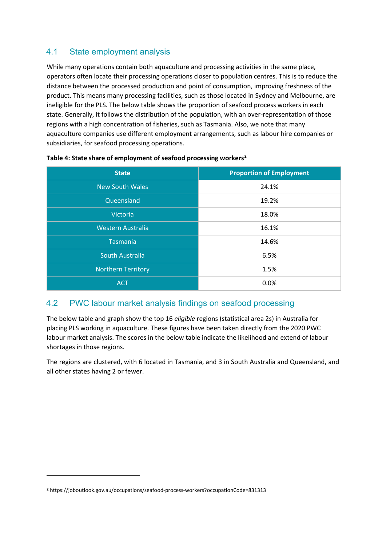### <span id="page-14-0"></span>4.1 State employment analysis

While many operations contain both aquaculture and processing activities in the same place, operators often locate their processing operations closer to population centres. This is to reduce the distance between the processed production and point of consumption, improving freshness of the product. This means many processing facilities, such as those located in Sydney and Melbourne, are ineligible for the PLS. The below table shows the proportion of seafood process workers in each state. Generally, it follows the distribution of the population, with an over-representation of those regions with a high concentration of fisheries, such as Tasmania. Also, we note that many aquaculture companies use different employment arrangements, such as labour hire companies or subsidiaries, for seafood processing operations.

| <b>State</b>              | <b>Proportion of Employment</b> |
|---------------------------|---------------------------------|
| <b>New South Wales</b>    | 24.1%                           |
| Queensland                | 19.2%                           |
| <b>Victoria</b>           | 18.0%                           |
| <b>Western Australia</b>  | 16.1%                           |
| <b>Tasmania</b>           | 14.6%                           |
| South Australia           | 6.5%                            |
| <b>Northern Territory</b> | 1.5%                            |
| <b>ACT</b>                | 0.0%                            |

#### <span id="page-14-2"></span>**Table 4: State share of employment of seafood processing workers[2](#page-14-3)**

#### <span id="page-14-1"></span>4.2 PWC labour market analysis findings on seafood processing

The below table and graph show the top 16 *eligible* regions (statistical area 2s) in Australia for placing PLS working in aquaculture. These figures have been taken directly from the 2020 PWC labour market analysis. The scores in the below table indicate the likelihood and extend of labour shortages in those regions.

The regions are clustered, with 6 located in Tasmania, and 3 in South Australia and Queensland, and all other states having 2 or fewer.

<span id="page-14-3"></span>**<sup>2</sup>** https://joboutlook.gov.au/occupations/seafood-process-workers?occupationCode=831313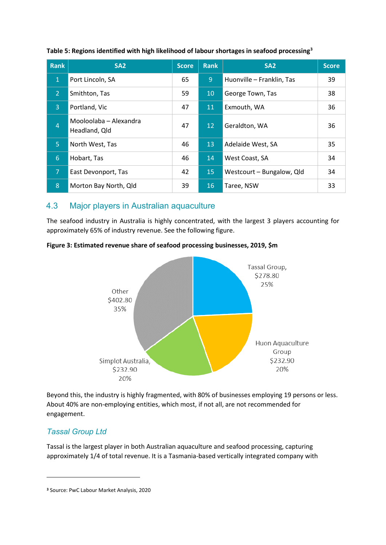| <b>Rank</b>    | SA <sub>2</sub>                         | <b>Score</b> | <b>Rank</b>     | SA <sub>2</sub>           | <b>Score</b> |
|----------------|-----------------------------------------|--------------|-----------------|---------------------------|--------------|
| $\mathbf{1}$   | Port Lincoln, SA                        | 65           | 9               | Huonville - Franklin, Tas | 39           |
| $\overline{2}$ | Smithton, Tas                           | 59           | 10 <sup>°</sup> | George Town, Tas          | 38           |
| $\overline{3}$ | Portland, Vic                           | 47           | 11              | Exmouth, WA               | 36           |
| $\overline{4}$ | Mooloolaba - Alexandra<br>Headland, Qld | 47           | 12 <sup>2</sup> | Geraldton, WA             | 36           |
| $\overline{5}$ | North West, Tas                         | 46           | 13              | Adelaide West, SA         | 35           |
| 6              | Hobart, Tas                             | 46           | 14              | West Coast, SA            | 34           |
| 7              | East Devonport, Tas                     | 42           | 15              | Westcourt - Bungalow, Qld | 34           |
| 8              | Morton Bay North, Qld                   | 39           | 16              | Taree, NSW                | 33           |

#### <span id="page-15-2"></span>**Table 5: Regions identified with high likelihood of labour shortages in seafood processing[3](#page-15-3)**

#### <span id="page-15-0"></span>4.3 Major players in Australian aquaculture

The seafood industry in Australia is highly concentrated, with the largest 3 players accounting for approximately 65% of industry revenue. See the following figure.

<span id="page-15-1"></span>



Beyond this, the industry is highly fragmented, with 80% of businesses employing 19 persons or less. About 40% are non-employing entities, which most, if not all, are not recommended for engagement.

#### *Tassal Group Ltd*

Tassal is the largest player in both Australian aquaculture and seafood processing, capturing approximately 1/4 of total revenue. It is a Tasmania-based vertically integrated company with

<span id="page-15-3"></span>**<sup>3</sup>** Source: PwC Labour Market Analysis, 2020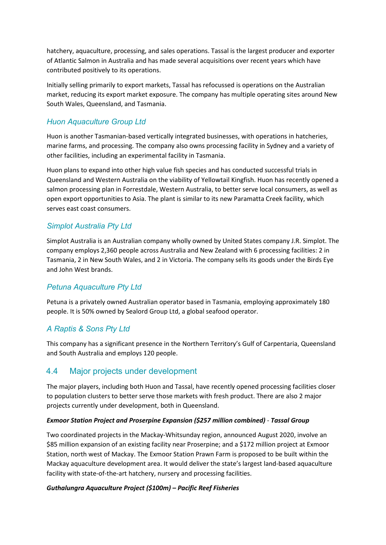hatchery, aquaculture, processing, and sales operations. Tassal is the largest producer and exporter of Atlantic Salmon in Australia and has made several acquisitions over recent years which have contributed positively to its operations.

Initially selling primarily to export markets, Tassal has refocussed is operations on the Australian market, reducing its export market exposure. The company has multiple operating sites around New South Wales, Queensland, and Tasmania.

#### *Huon Aquaculture Group Ltd*

Huon is another Tasmanian-based vertically integrated businesses, with operations in hatcheries, marine farms, and processing. The company also owns processing facility in Sydney and a variety of other facilities, including an experimental facility in Tasmania.

Huon plans to expand into other high value fish species and has conducted successful trials in Queensland and Western Australia on the viability of Yellowtail Kingfish. Huon has recently opened a salmon processing plan in Forrestdale, Western Australia, to better serve local consumers, as well as open export opportunities to Asia. The plant is similar to its new Paramatta Creek facility, which serves east coast consumers.

#### *Simplot Australia Pty Ltd*

Simplot Australia is an Australian company wholly owned by United States company J.R. Simplot. The company employs 2,360 people across Australia and New Zealand with 6 processing facilities: 2 in Tasmania, 2 in New South Wales, and 2 in Victoria. The company sells its goods under the Birds Eye and John West brands.

#### *Petuna Aquaculture Pty Ltd*

Petuna is a privately owned Australian operator based in Tasmania, employing approximately 180 people. It is 50% owned by Sealord Group Ltd, a global seafood operator.

#### *A Raptis & Sons Pty Ltd*

This company has a significant presence in the Northern Territory's Gulf of Carpentaria, Queensland and South Australia and employs 120 people.

#### <span id="page-16-0"></span>4.4 Major projects under development

The major players, including both Huon and Tassal, have recently opened processing facilities closer to population clusters to better serve those markets with fresh product. There are also 2 major projects currently under development, both in Queensland.

#### *Exmoor Station Project and Proserpine Expansion (\$257 million combined)* - *Tassal Group*

Two coordinated projects in the Mackay-Whitsunday region, announced August 2020, involve an \$85 million expansion of an existing facility near Proserpine; and a \$172 million project at Exmoor Station, north west of Mackay. The Exmoor Station Prawn Farm is proposed to be built within the Mackay aquaculture development area. It would deliver the state's largest land-based aquaculture facility with state-of-the-art hatchery, nursery and processing facilities.

#### *Guthalungra Aquaculture Project (\$100m) – Pacific Reef Fisheries*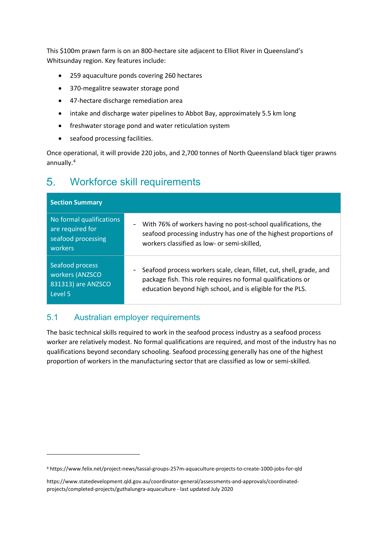This \$100m prawn farm is on an 800-hectare site adjacent to Elliot River in Queensland's Whitsunday region. Key features include:

- 259 aquaculture ponds covering 260 hectares
- 370-megalitre seawater storage pond
- 47-hectare discharge remediation area
- intake and discharge water pipelines to Abbot Bay, approximately 5.5 km long
- freshwater storage pond and water reticulation system
- seafood processing facilities.

Once operational, it will provide 220 jobs, and 2,700 tonnes of North Queensland black tiger prawns annually.[4](#page-17-2)

#### <span id="page-17-0"></span> $5<sub>1</sub>$ Workforce skill requirements

| <b>Section Summary</b>                                                        |                                                                                                                                                                                                    |
|-------------------------------------------------------------------------------|----------------------------------------------------------------------------------------------------------------------------------------------------------------------------------------------------|
| No formal qualifications<br>are required for<br>seafood processing<br>workers | With 76% of workers having no post-school qualifications, the<br>-<br>seafood processing industry has one of the highest proportions of<br>workers classified as low- or semi-skilled,             |
| Seafood process<br>workers (ANZSCO<br>831313) are ANZSCO<br>Level 5           | Seafood process workers scale, clean, fillet, cut, shell, grade, and<br>package fish. This role requires no formal qualifications or<br>education beyond high school, and is eligible for the PLS. |

### <span id="page-17-1"></span>5.1 Australian employer requirements

The basic technical skills required to work in the seafood process industry as a seafood process worker are relatively modest. No formal qualifications are required, and most of the industry has no qualifications beyond secondary schooling. Seafood processing generally has one of the highest proportion of workers in the manufacturing sector that are classified as low or semi-skilled.

<span id="page-17-2"></span><sup>4</sup> <https://www.felix.net/project-news/tassal-groups-257m-aquaculture-projects-to-create-1000-jobs-for-qld>

[https://www.statedevelopment.qld.gov.au/coordinator-general/assessments-and-approvals/coordinated](https://www.statedevelopment.qld.gov.au/coordinator-general/assessments-and-approvals/coordinated-projects/completed-projects/guthalungra-aquaculture)[projects/completed-projects/guthalungra-aquaculture](https://www.statedevelopment.qld.gov.au/coordinator-general/assessments-and-approvals/coordinated-projects/completed-projects/guthalungra-aquaculture) - last updated July 2020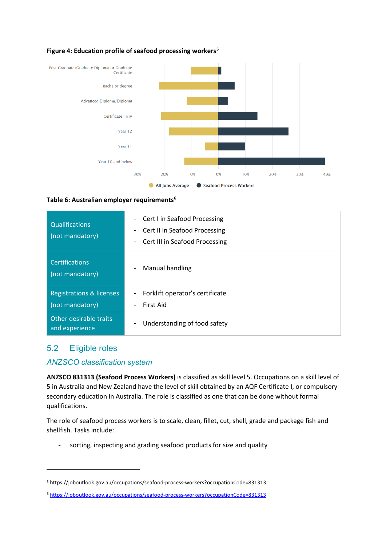

#### <span id="page-18-1"></span>**Figure 4: Education profile of seafood processing workers[5](#page-18-3)**

#### <span id="page-18-2"></span>**Table 6: Australian employer requirements[6](#page-18-4)**

| <b>Qualifications</b><br>(not mandatory) | Cert I in Seafood Processing<br>$\overline{\phantom{a}}$<br>Cert II in Seafood Processing<br>$\overline{\phantom{a}}$<br>Cert III in Seafood Processing<br>$\overline{\phantom{a}}$ |
|------------------------------------------|-------------------------------------------------------------------------------------------------------------------------------------------------------------------------------------|
| <b>Certifications</b><br>(not mandatory) | Manual handling<br>$\qquad \qquad \blacksquare$                                                                                                                                     |
| <b>Registrations &amp; licenses</b>      | Forklift operator's certificate<br>-                                                                                                                                                |
| (not mandatory)                          | First Aid<br>$\overline{\phantom{a}}$                                                                                                                                               |
| Other desirable traits<br>and experience | Understanding of food safety<br>$\overline{\phantom{a}}$                                                                                                                            |

#### <span id="page-18-0"></span>5.2 Eligible roles

#### *ANZSCO classification system*

**ANZSCO 831313 (Seafood Process Workers)** is classified as skill level 5. Occupations on a skill level of 5 in Australia and New Zealand have the level of skill obtained by an AQF Certificate I, or compulsory secondary education in Australia. The role is classified as one that can be done without formal qualifications.

The role of seafood process workers is to scale, clean, fillet, cut, shell, grade and package fish and shellfish. Tasks include:

sorting, inspecting and grading seafood products for size and quality

<span id="page-18-3"></span><sup>5</sup> https://joboutlook.gov.au/occupations/seafood-process-workers?occupationCode=831313

<span id="page-18-4"></span><sup>6</sup> <https://joboutlook.gov.au/occupations/seafood-process-workers?occupationCode=831313>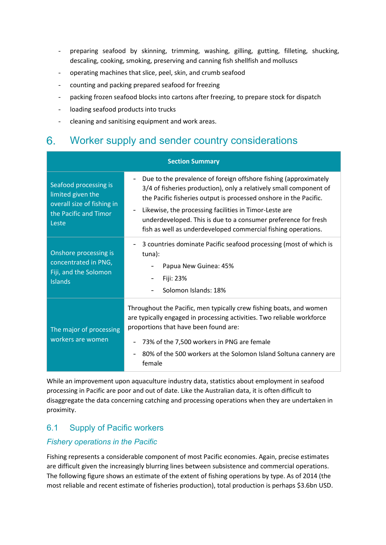- preparing seafood by skinning, trimming, washing, gilling, gutting, filleting, shucking, descaling, cooking, smoking, preserving and canning fish shellfish and molluscs
- operating machines that slice, peel, skin, and crumb seafood
- counting and packing prepared seafood for freezing
- packing frozen seafood blocks into cartons after freezing, to prepare stock for dispatch
- loading seafood products into trucks
- cleaning and sanitising equipment and work areas.

#### <span id="page-19-0"></span>Worker supply and sender country considerations 6.

| <b>Section Summary</b>                                                                                     |                                                                                                                                                                                                                                                                                                                                                                                                                                           |  |  |  |
|------------------------------------------------------------------------------------------------------------|-------------------------------------------------------------------------------------------------------------------------------------------------------------------------------------------------------------------------------------------------------------------------------------------------------------------------------------------------------------------------------------------------------------------------------------------|--|--|--|
| Seafood processing is<br>limited given the<br>overall size of fishing in<br>the Pacific and Timor<br>Leste | Due to the prevalence of foreign offshore fishing (approximately<br>-<br>3/4 of fisheries production), only a relatively small component of<br>the Pacific fisheries output is processed onshore in the Pacific.<br>Likewise, the processing facilities in Timor-Leste are<br>$\overline{\phantom{0}}$<br>underdeveloped. This is due to a consumer preference for fresh<br>fish as well as underdeveloped commercial fishing operations. |  |  |  |
| Onshore processing is<br>concentrated in PNG,<br>Fiji, and the Solomon<br><b>Islands</b>                   | 3 countries dominate Pacific seafood processing (most of which is<br>tuna):<br>Papua New Guinea: 45%<br>Fiji: 23%<br>Solomon Islands: 18%                                                                                                                                                                                                                                                                                                 |  |  |  |
| The major of processing<br>workers are women                                                               | Throughout the Pacific, men typically crew fishing boats, and women<br>are typically engaged in processing activities. Two reliable workforce<br>proportions that have been found are:<br>73% of the 7,500 workers in PNG are female<br>80% of the 500 workers at the Solomon Island Soltuna cannery are<br>female                                                                                                                        |  |  |  |

While an improvement upon aquaculture industry data, statistics about employment in seafood processing in Pacific are poor and out of date. Like the Australian data, it is often difficult to disaggregate the data concerning catching and processing operations when they are undertaken in proximity.

### <span id="page-19-1"></span>6.1 Supply of Pacific workers

#### *Fishery operations in the Pacific*

Fishing represents a considerable component of most Pacific economies. Again, precise estimates are difficult given the increasingly blurring lines between subsistence and commercial operations. The following figure shows an estimate of the extent of fishing operations by type. As of 2014 (the most reliable and recent estimate of fisheries production), total production is perhaps \$3.6bn USD.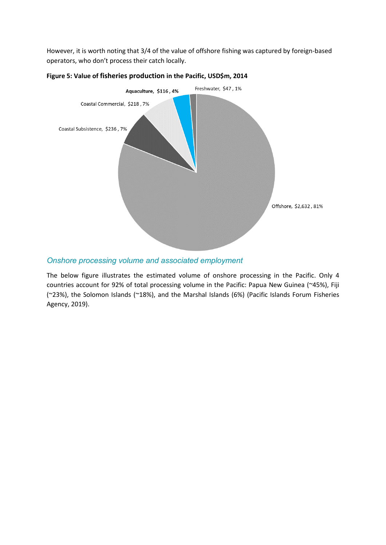However, it is worth noting that 3/4 of the value of offshore fishing was captured by foreign-based operators, who don't process their catch locally.



#### <span id="page-20-0"></span>**Figure 5: Value of fisheries production in the Pacific, USD\$m, 2014**

#### *Onshore processing volume and associated employment*

The below figure illustrates the estimated volume of onshore processing in the Pacific. Only 4 countries account for 92% of total processing volume in the Pacific: Papua New Guinea (~45%), Fiji (~23%), the Solomon Islands (~18%), and the Marshal Islands (6%) (Pacific Islands Forum Fisheries Agency, 2019).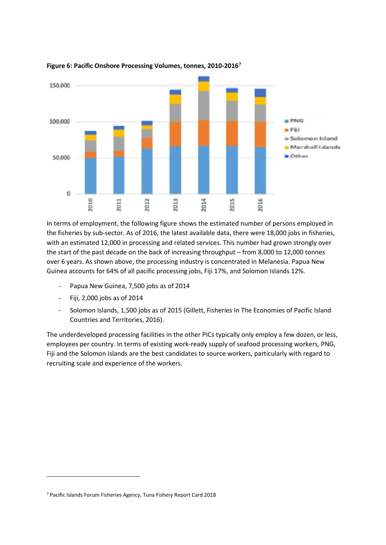

#### <span id="page-21-0"></span>**Figure 6: Pacific Onshore Processing Volumes, tonnes, 2010-2016[7](#page-21-1)**

In terms of employment, the following figure shows the estimated number of persons employed in the fisheries by sub-sector. As of 2016, the latest available data, there were 18,000 jobs in fisheries, with an estimated 12,000 in processing and related services. This number had grown strongly over the start of the past decade on the back of increasing throughput – from 8,000 to 12,000 tonnes over 6 years. As shown above, the processing industry is concentrated in Melanesia. Papua New Guinea accounts for 64% of all pacific processing jobs, Fiji 17%, and Solomon Islands 12%.

- Papua New Guinea, 7,500 jobs as of 2014
- Fiji, 2,000 jobs as of 2014
- Solomon Islands, 1,500 jobs as of 2015 (Gillett, Fisheries In The Economies of Pacific Island Countries and Territories, 2016).

The underdeveloped processing facilities in the other PICs typically only employ a few dozen, or less, employees per country. In terms of existing work-ready supply of seafood processing workers, PNG, Fiji and the Solomon Islands are the best candidates to source workers, particularly with regard to recruiting scale and experience of the workers.

<span id="page-21-1"></span><sup>7</sup> Pacific Islands Forum Fisheries Agency, Tuna Fishery Report Card 2018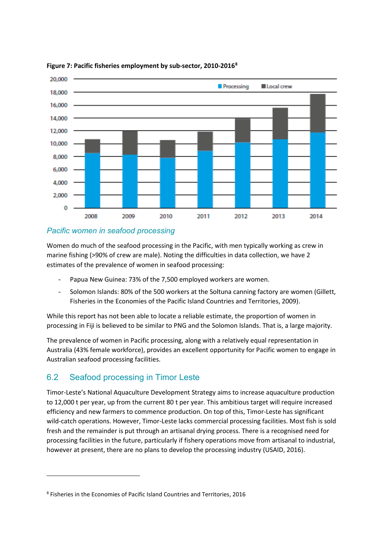

#### <span id="page-22-1"></span>**Figure 7: Pacific fisheries employment by sub-sector, 2010-2016[8](#page-22-2)**

#### *Pacific women in seafood processing*

Women do much of the seafood processing in the Pacific, with men typically working as crew in marine fishing (>90% of crew are male). Noting the difficulties in data collection, we have 2 estimates of the prevalence of women in seafood processing:

- Papua New Guinea: 73% of the 7,500 employed workers are women.
- Solomon Islands: 80% of the 500 workers at the Soltuna canning factory are women (Gillett, Fisheries in the Economies of the Pacific Island Countries and Territories, 2009).

While this report has not been able to locate a reliable estimate, the proportion of women in processing in Fiji is believed to be similar to PNG and the Solomon Islands. That is, a large majority.

The prevalence of women in Pacific processing, along with a relatively equal representation in Australia (43% female workforce), provides an excellent opportunity for Pacific women to engage in Australian seafood processing facilities.

### <span id="page-22-0"></span>6.2 Seafood processing in Timor Leste

Timor-Leste's National Aquaculture Development Strategy aims to increase aquaculture production to 12,000 t per year, up from the current 80 t per year. This ambitious target will require increased efficiency and new farmers to commence production. On top of this, Timor-Leste has significant wild-catch operations. However, Timor-Leste lacks commercial processing facilities. Most fish is sold fresh and the remainder is put through an artisanal drying process. There is a recognised need for processing facilities in the future, particularly if fishery operations move from artisanal to industrial, however at present, there are no plans to develop the processing industry (USAID, 2016).

<span id="page-22-2"></span><sup>8</sup> Fisheries in the Economies of Pacific Island Countries and Territories, 2016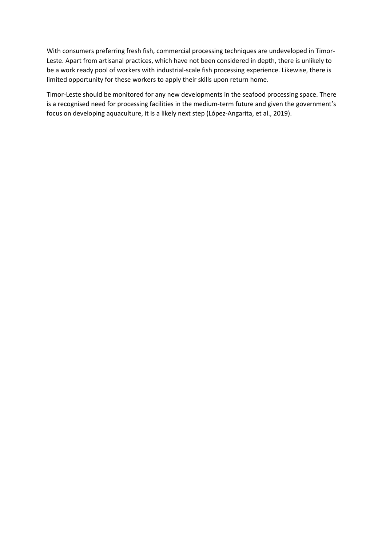With consumers preferring fresh fish, commercial processing techniques are undeveloped in Timor-Leste. Apart from artisanal practices, which have not been considered in depth, there is unlikely to be a work ready pool of workers with industrial-scale fish processing experience. Likewise, there is limited opportunity for these workers to apply their skills upon return home.

Timor-Leste should be monitored for any new developments in the seafood processing space. There is a recognised need for processing facilities in the medium-term future and given the government's focus on developing aquaculture, it is a likely next step (López-Angarita, et al., 2019).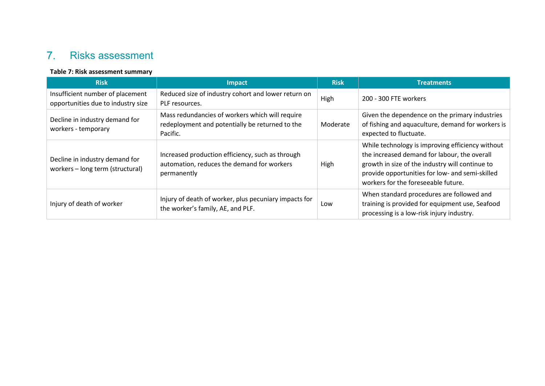#### $7.$ Risks assessment

#### **Table 7: Risk assessment summary**

<span id="page-24-1"></span><span id="page-24-0"></span>

| <b>Risk</b>                                                            | <b>Impact</b>                                                                                                  | <b>Risk</b> | <b>Treatments</b>                                                                                                                                                                                                                             |
|------------------------------------------------------------------------|----------------------------------------------------------------------------------------------------------------|-------------|-----------------------------------------------------------------------------------------------------------------------------------------------------------------------------------------------------------------------------------------------|
| Insufficient number of placement<br>opportunities due to industry size | Reduced size of industry cohort and lower return on<br>PLF resources.                                          | High        | 200 - 300 FTE workers                                                                                                                                                                                                                         |
| Decline in industry demand for<br>workers - temporary                  | Mass redundancies of workers which will require<br>redeployment and potentially be returned to the<br>Pacific. | Moderate    | Given the dependence on the primary industries<br>of fishing and aquaculture, demand for workers is<br>expected to fluctuate.                                                                                                                 |
| Decline in industry demand for<br>workers - long term (structural)     | Increased production efficiency, such as through<br>automation, reduces the demand for workers<br>permanently  | High        | While technology is improving efficiency without<br>the increased demand for labour, the overall<br>growth in size of the industry will continue to<br>provide opportunities for low- and semi-skilled<br>workers for the foreseeable future. |
| Injury of death of worker                                              | Injury of death of worker, plus pecuniary impacts for<br>the worker's family, AE, and PLF.                     | Low         | When standard procedures are followed and<br>training is provided for equipment use, Seafood<br>processing is a low-risk injury industry.                                                                                                     |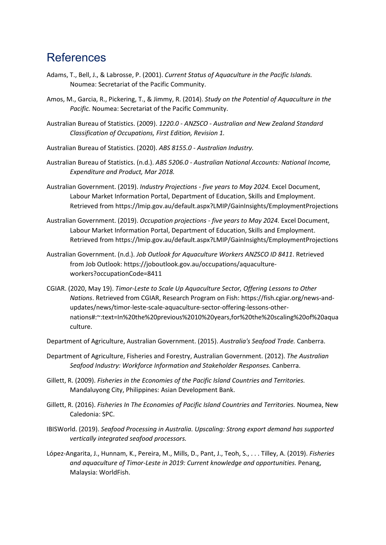## <span id="page-25-0"></span>References

- Adams, T., Bell, J., & Labrosse, P. (2001). *Current Status of Aquaculture in the Pacific Islands.* Noumea: Secretariat of the Pacific Community.
- Amos, M., Garcia, R., Pickering, T., & Jimmy, R. (2014). *Study on the Potential of Aquaculture in the Pacific.* Noumea: Secretariat of the Pacific Community.
- Australian Bureau of Statistics. (2009). *1220.0 - ANZSCO - Australian and New Zealand Standard Classification of Occupations, First Edition, Revision 1.*
- Australian Bureau of Statistics. (2020). *ABS 8155.0 - Australian Industry.*
- Australian Bureau of Statistics. (n.d.). *ABS 5206.0 - Australian National Accounts: National Income, Expenditure and Product, Mar 2018.*
- Australian Government. (2019). *Industry Projections - five years to May 2024.* Excel Document, Labour Market Information Portal, Department of Education, Skills and Employment. Retrieved from https://lmip.gov.au/default.aspx?LMIP/GainInsights/EmploymentProjections
- Australian Government. (2019). *Occupation projections - five years to May 2024.* Excel Document, Labour Market Information Portal, Department of Education, Skills and Employment. Retrieved from https://lmip.gov.au/default.aspx?LMIP/GainInsights/EmploymentProjections
- Australian Government. (n.d.). *Job Outlook for Aquaculture Workers ANZSCO ID 8411*. Retrieved from Job Outlook: https://joboutlook.gov.au/occupations/aquacultureworkers?occupationCode=8411
- CGIAR. (2020, May 19). *Timor-Leste to Scale Up Aquaculture Sector, Offering Lessons to Other Nations*. Retrieved from CGIAR, Research Program on Fish: https://fish.cgiar.org/news-andupdates/news/timor-leste-scale-aquaculture-sector-offering-lessons-othernations#:~:text=In%20the%20previous%2010%20years,for%20the%20scaling%20of%20aqua culture.
- Department of Agriculture, Australian Government. (2015). *Australia's Seafood Trade.* Canberra.
- Department of Agriculture, Fisheries and Forestry, Australian Government. (2012). *The Australian Seafood Industry: Workforce Information and Stakeholder Responses.* Canberra.
- Gillett, R. (2009). *Fisheries in the Economies of the Pacific Island Countries and Territories.* Mandaluyong City, Philippines: Asian Development Bank.
- Gillett, R. (2016). *Fisheries In The Economies of Pacific Island Countries and Territories.* Noumea, New Caledonia: SPC.
- IBISWorld. (2019). *Seafood Processing in Australia. Upscaling: Strong export demand has supported vertically integrated seafood processors.*
- López-Angarita, J., Hunnam, K., Pereira, M., Mills, D., Pant, J., Teoh, S., . . . Tilley, A. (2019). *Fisheries and aquaculture of Timor-Leste in 2019: Current knowledge and opportunities.* Penang, Malaysia: WorldFish.